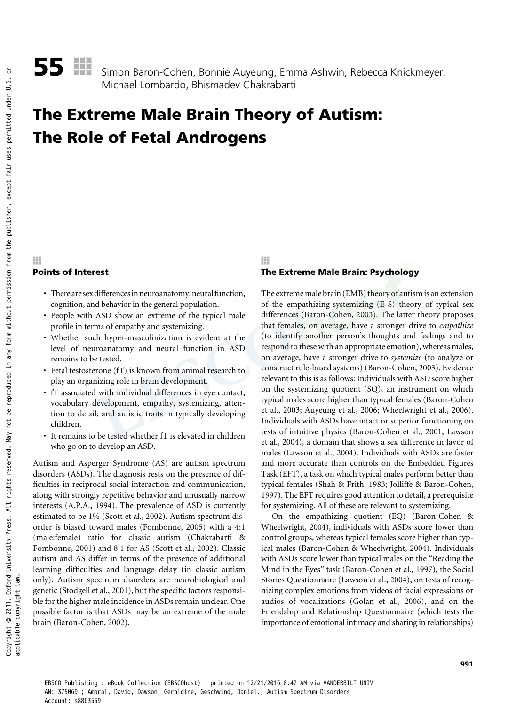# **55 FF** Simon Baron-Cohen, Bonnie Auyeung, Emma Ashwin, Rebecca Knickmeyer, Michael Lombardo, Bhismadev Chakrabarti

# **The Extreme Male Brain Theory of Autism: The Role of Fetal Androgens**

# **Points of Interest**

- There are sex differences in neuroanatomy, neural function, cognition, and behavior in the general population.
- People with ASD show an extreme of the typical male profile in terms of empathy and systemizing.
- Whether such hyper-masculinization is evident at the level of neuroanatomy and neural function in ASD remains to be tested.
- Fetal testosterone (fT) is known from animal research to play an organizing role in brain development.
- fT associated with individual differences in eye contact, vocabulary development, empathy, systemizing, attention to detail, and autistic traits in typically developing children.
- It remains to be tested whether fT is elevated in children who go on to develop an ASD.

 Autism and Asperger Syndrome (AS) are autism spectrum disorders (ASDs). The diagnosis rests on the presence of difficulties in reciprocal social interaction and communication, along with strongly repetitive behavior and unusually narrow interests (A.P.A., 1994). The prevalence of ASD is currently estimated to be 1% (Scott et al., 2002). Autism spectrum disorder is biased toward males (Fombonne, 2005) with a 4:1 (male:female) ratio for classic autism (Chakrabarti & Fombonne, 2001) and 8:1 for AS (Scott et al., 2002). Classic autism and AS differ in terms of the presence of additional learning difficulties and language delay (in classic autism only). Autism spectrum disorders are neurobiological and genetic (Stodgell et al., 2001), but the specific factors responsible for the higher male incidence in ASDs remain unclear. One possible factor is that ASDs may be an extreme of the male brain (Baron-Cohen, 2002).

# Á

# **The Extreme Male Brain: Psychology**

 The extreme male brain (EMB) theory of autism is an extension of the empathizing-systemizing (E-S) theory of typical sex differences (Baron-Cohen, 2003). The latter theory proposes that females, on average, have a stronger drive to *empathize* (to identify another person's thoughts and feelings and to respond to these with an appropriate emotion), whereas males, on average, have a stronger drive to *systemize* (to analyze or construct rule-based systems) (Baron-Cohen, 2003 ). Evidence relevant to this is as follows: Individuals with ASD score higher on the systemizing quotient (SQ), an instrument on which typical males score higher than typical females (Baron-Cohen et al., 2003; Auyeung et al., 2006; Wheelwright et al., 2006). Individuals with ASDs have intact or superior functioning on tests of intuitive physics (Baron-Cohen et al., 2001; Lawson et al., 2004), a domain that shows a sex difference in favor of males (Lawson et al., 2004). Individuals with ASDs are faster and more accurate than controls on the Embedded Figures Task (EFT), a task on which typical males perform better than typical females (Shah & Frith, 1983; Jolliffe & Baron-Cohen, 1997 ). The EFT requires good attention to detail, a prerequisite for systemizing. All of these are relevant to systemizing.

 On the empathizing quotient (EQ) (Baron-Cohen & Wheelwright, 2004), individuals with ASDs score lower than control groups, whereas typical females score higher than typical males (Baron-Cohen & Wheelwright, 2004). Individuals with ASDs score lower than typical males on the "Reading the Mind in the Eyes" task (Baron-Cohen et al., 1997 ), the Social Stories Questionnaire (Lawson et al., 2004), on tests of recognizing complex emotions from videos of facial expressions or audios of vocalizations (Golan et al., 2006), and on the Friendship and Relationship Questionnaire (which tests the importance of emotional intimacy and sharing in relationships)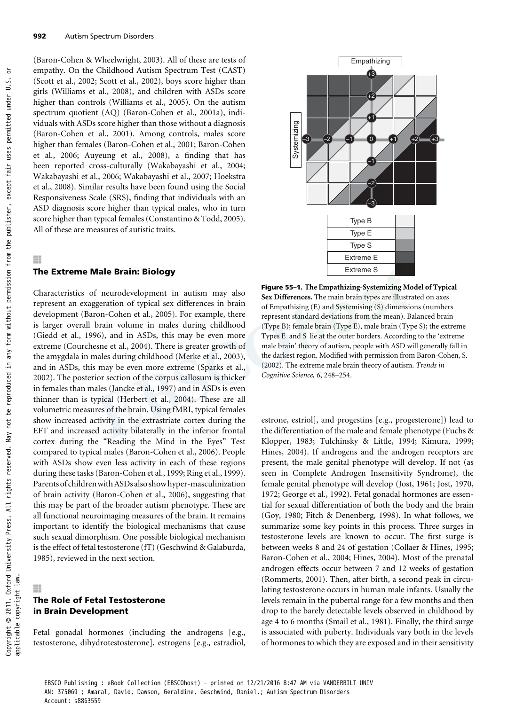(Baron-Cohen & Wheelwright, 2003 ). All of these are tests of empathy. On the Childhood Autism Spectrum Test (CAST) (Scott et al., 2002; Scott et al., 2002), boys score higher than girls (Williams et al., 2008), and children with ASDs score higher than controls (Williams et al., 2005). On the autism spectrum quotient (AQ) (Baron-Cohen et al., 2001a), individuals with ASDs score higher than those without a diagnosis (Baron-Cohen et al., 2001). Among controls, males score higher than females (Baron-Cohen et al., 2001; Baron-Cohen et al., 2006; Auyeung et al., 2008), a finding that has been reported cross-culturally (Wakabayashi et al., 2004; Wakabayashi et al., 2006; Wakabayashi et al., 2007; Hoekstra et al., 2008). Similar results have been found using the Social Responsiveness Scale (SRS), finding that individuals with an ASD diagnosis score higher than typical males, who in turn score higher than typical females (Constantino & Todd, 2005). All of these are measures of autistic traits.

#### Á

#### **The Extreme Male Brain: Biology**

 Characteristics of neurodevelopment in autism may also represent an exaggeration of typical sex differences in brain development (Baron-Cohen et al., 2005). For example, there is larger overall brain volume in males during childhood (Giedd et al., 1996), and in ASDs, this may be even more extreme (Courchesne et al., 2004). There is greater growth of the amygdala in males during childhood (Merke et al., 2003 ), and in ASDs, this may be even more extreme (Sparks et al., 2002 ). The posterior section of the corpus callosum is thicker in females than males (Jancke et al., 1997 ) and in ASDs is even thinner than is typical (Herbert et al., 2004). These are all volumetric measures of the brain. Using fMRI, typical females show increased activity in the extrastriate cortex during the EFT and increased activity bilaterally in the inferior frontal cortex during the "Reading the Mind in the Eyes" Test compared to typical males (Baron-Cohen et al., 2006 ). People with ASDs show even less activity in each of these regions during these tasks (Baron-Cohen et al., 1999; Ring et al., 1999). Parents of children with ASDs also show hyper-masculinization of brain activity (Baron-Cohen et al., 2006), suggesting that this may be part of the broader autism phenotype. These are all functional neuroimaging measures of the brain. It remains important to identify the biological mechanisms that cause such sexual dimorphism. One possible biological mechanism is the effect of fetal testosterone (fT) (Geschwind & Galaburda, 1985), reviewed in the next section.

### **The Role of Fetal Testosterone in Brain Development**

Á

 Fetal gonadal hormones (including the androgens [e.g., testosterone, dihydrotestosterone], estrogens [e.g., estradiol,



 **Figure 55–1 . The Empathizing-Systemizing Model of Typical Sex Differences.** The main brain types are illustrated on axes of Empathising (E) and Systemising (S) dimensions (numbers represent standard deviations from the mean). Balanced brain (Type B); female brain (Type E), male brain (Type S); the extreme Types E and S lie at the outer borders. According to the 'extreme male brain' theory of autism, people with ASD will generally fall in the darkest region. Modified with permission from Baron-Cohen, S. (2002). The extreme male brain theory of autism. *Trends in* 

estrone, estriol], and progestins [e.g., progesterone]) lead to the differentiation of the male and female phenotype (Fuchs & Klopper, 1983; Tulchinsky & Little, 1994; Kimura, 1999; Hines, 2004). If androgens and the androgen receptors are present, the male genital phenotype will develop. If not (as seen in Complete Androgen Insensitivity Syndrome), the female genital phenotype will develop (Jost, 1961; Jost, 1970, 1972; George et al., 1992). Fetal gonadal hormones are essential for sexual differentiation of both the body and the brain (Goy, 1980; Fitch & Denenberg, 1998). In what follows, we summarize some key points in this process. Three surges in testosterone levels are known to occur. The first surge is between weeks 8 and 24 of gestation (Collaer & Hines, 1995; Baron-Cohen et al., 2004; Hines, 2004). Most of the prenatal androgen effects occur between 7 and 12 weeks of gestation (Rommerts, 2001). Then, after birth, a second peak in circulating testosterone occurs in human male infants. Usually the levels remain in the pubertal range for a few months and then drop to the barely detectable levels observed in childhood by age 4 to 6 months (Smail et al., 1981 ). Finally, the third surge is associated with puberty. Individuals vary both in the levels of hormones to which they are exposed and in their sensitivity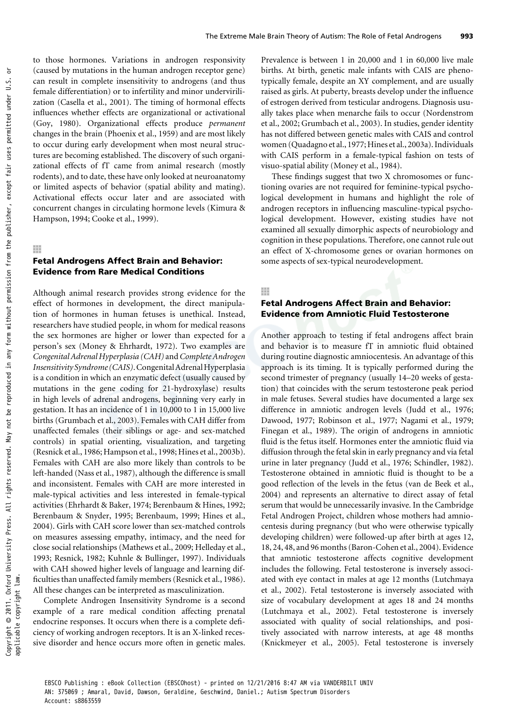to those hormones. Variations in androgen responsivity (caused by mutations in the human androgen receptor gene) can result in complete insensitivity to androgens (and thus female differentiation) or to infertility and minor undervirilization (Casella et al., 2001). The timing of hormonal effects influences whether effects are organizational or activational (Goy, 1980). Organizational effects produce *permanent* changes in the brain (Phoenix et al., 1959 ) and are most likely to occur during early development when most neural structures are becoming established. The discovery of such organizational effects of fT came from animal research (mostly rodents), and to date, these have only looked at neuroanatomy or limited aspects of behavior (spatial ability and mating). Activational effects occur later and are associated with concurrent changes in circulating hormone levels (Kimura & Hampson, 1994; Cooke et al., 1999).

#### Á

# **Fetal Androgens Affect Brain and Behavior: Evidence from Rare Medical Conditions**

 Although animal research provides strong evidence for the effect of hormones in development, the direct manipulation of hormones in human fetuses is unethical. Instead, researchers have studied people, in whom for medical reasons the sex hormones are higher or lower than expected for a person's sex (Money & Ehrhardt, 1972). Two examples are *Congenital Adrenal Hyperplasia (CAH)* and *Complete Androgen Insensitivity Syndrome (CAIS)* . Congenital Adrenal Hyperplasia is a condition in which an enzymatic defect (usually caused by mutations in the gene coding for 21-hydroxylase) results in high levels of adrenal androgens, beginning very early in gestation. It has an incidence of 1 in 10,000 to 1 in 15,000 live births (Grumbach et al., 2003 ). Females with CAH differ from unaffected females (their siblings or age- and sex-matched controls) in spatial orienting, visualization, and targeting (Resnick et al., 1986; Hampson et al., 1998; Hines et al., 2003b). Females with CAH are also more likely than controls to be left-handed (Nass et al., 1987 ), although the difference is small and inconsistent. Females with CAH are more interested in male-typical activities and less interested in female-typical activities (Ehrhardt & Baker, 1974; Berenbaum & Hines, 1992; Berenbaum & Snyder, 1995; Berenbaum, 1999; Hines et al., 2004 ). Girls with CAH score lower than sex-matched controls on measures assessing empathy, intimacy, and the need for close social relationships (Mathews et al., 2009; Helleday et al., 1993; Resnick, 1982; Kuhnle & Bullinger, 1997). Individuals with CAH showed higher levels of language and learning difficulties than unaffected family members (Resnick et al., 1986). All these changes can be interpreted as masculinization.

 Complete Androgen Insensitivity Syndrome is a second example of a rare medical condition affecting prenatal endocrine responses. It occurs when there is a complete deficiency of working androgen receptors. It is an X-linked recessive disorder and hence occurs more often in genetic males. Prevalence is between 1 in 20,000 and 1 in 60,000 live male births. At birth, genetic male infants with CAIS are phenotypically female, despite an XY complement, and are usually raised as girls. At puberty, breasts develop under the influence of estrogen derived from testicular androgens. Diagnosis usually takes place when menarche fails to occur (Nordenstrom et al., 2002; Grumbach et al., 2003). In studies, gender identity has not differed between genetic males with CAIS and control women (Quadagno et al., 1977 ; Hines et al., 2003a ). Individuals with CAIS perform in a female-typical fashion on tests of visuo-spatial ability (Money et al., 1984).

These findings suggest that two X chromosomes or functioning ovaries are not required for feminine-typical psychological development in humans and highlight the role of androgen receptors in influencing masculine-typical psychological development. However, existing studies have not examined all sexually dimorphic aspects of neurobiology and cognition in these populations. Therefore, one cannot rule out an effect of X-chromosome genes or ovarian hormones on some aspects of sex-typical neurodevelopment.

#### Á

# **Fetal Androgens Affect Brain and Behavior: Evidence from Amniotic Fluid Testosterone**

 Another approach to testing if fetal androgens affect brain and behavior is to measure fT in amniotic fluid obtained during routine diagnostic amniocentesis. An advantage of this approach is its timing. It is typically performed during the second trimester of pregnancy (usually 14–20 weeks of gestation) that coincides with the serum testosterone peak period in male fetuses. Several studies have documented a large sex difference in amniotic androgen levels (Judd et al., 1976; Dawood, 1977; Robinson et al., 1977; Nagami et al., 1979; Finegan et al., 1989). The origin of androgens in amniotic fluid is the fetus itself. Hormones enter the amniotic fluid via diffusion through the fetal skin in early pregnancy and via fetal urine in later pregnancy (Judd et al., 1976; Schindler, 1982). Testosterone obtained in amniotic fluid is thought to be a good reflection of the levels in the fetus (van de Beek et al., 2004) and represents an alternative to direct assay of fetal serum that would be unnecessarily invasive. In the Cambridge Fetal Androgen Project, children whose mothers had amniocentesis during pregnancy (but who were otherwise typically developing children) were followed-up after birth at ages 12, 18, 24, 48, and 96 months (Baron-Cohen et al., 2004 ). Evidence that amniotic testosterone affects cognitive development includes the following. Fetal testosterone is inversely associated with eye contact in males at age 12 months (Lutchmaya et al., 2002 ). Fetal testosterone is inversely associated with size of vocabulary development at ages 18 and 24 months (Lutchmaya et al., 2002). Fetal testosterone is inversely associated with quality of social relationships, and positively associated with narrow interests, at age 48 months (Knickmeyer et al., 2005). Fetal testosterone is inversely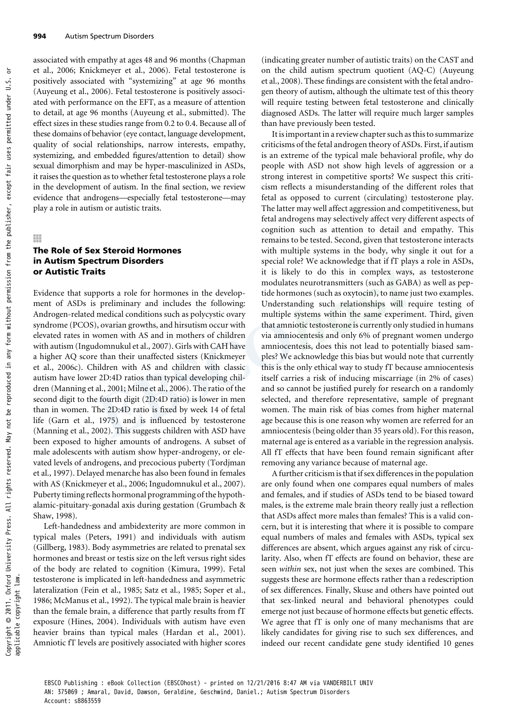associated with empathy at ages 48 and 96 months (Chapman et al., 2006; Knickmeyer et al., 2006). Fetal testosterone is positively associated with "systemizing" at age 96 months (Auyeung et al., 2006). Fetal testosterone is positively associated with performance on the EFT, as a measure of attention to detail, at age 96 months (Auyeung et al., submitted). The effect sizes in these studies range from 0.2 to 0.4. Because all of these domains of behavior (eye contact, language development, quality of social relationships, narrow interests, empathy, systemizing, and embedded figures/attention to detail) show sexual dimorphism and may be hyper-masculinized in ASDs, it raises the question as to whether fetal testosterone plays a role in the development of autism. In the final section, we review evidence that androgens—especially fetal testosterone—may play a role in autism or autistic traits.

#### Á

# **The Role of Sex Steroid Hormones in Autism Spectrum Disorders or Autistic Traits**

 Evidence that supports a role for hormones in the development of ASDs is preliminary and includes the following: Androgen-related medical conditions such as polycystic ovary syndrome (PCOS), ovarian growths, and hirsutism occur with elevated rates in women with AS and in mothers of children with autism (Ingudomnukul et al., 2007 ). Girls with CAH have a higher AQ score than their unaffected sisters (Knickmeyer et al., 2006c). Children with AS and children with classic autism have lower 2D:4D ratios than typical developing children (Manning et al., 2001; Milne et al., 2006). The ratio of the second digit to the fourth digit (2D:4D ratio) is lower in men than in women. The 2D:4D ratio is fixed by week 14 of fetal life (Garn et al., 1975) and is influenced by testosterone (Manning et al., 2002). This suggests children with ASD have been exposed to higher amounts of androgens. A subset of male adolescents with autism show hyper-androgeny, or elevated levels of androgens, and precocious puberty (Tordjman et al., 1997 ). Delayed menarche has also been found in females with AS (Knickmeyer et al., 2006; Ingudomnukul et al., 2007). Puberty timing reflects hormonal programming of the hypothalamic-pituitary-gonadal axis during gestation (Grumbach & Shaw, 1998).

 Left-handedness and ambidexterity are more common in typical males (Peters, 1991) and individuals with autism (Gillberg, 1983 ). Body asymmetries are related to prenatal sex hormones and breast or testis size on the left versus right sides of the body are related to cognition (Kimura, 1999 ). Fetal testosterone is implicated in left-handedness and asymmetric lateralization (Fein et al., 1985; Satz et al., 1985; Soper et al., 1986; McManus et al., 1992). The typical male brain is heavier than the female brain, a difference that partly results from fT exposure (Hines, 2004). Individuals with autism have even heavier brains than typical males (Hardan et al., 2001). Amniotic fT levels are positively associated with higher scores

(indicating greater number of autistic traits) on the CAST and on the child autism spectrum quotient (AQ-C) (Auyeung et al., 2008). These findings are consistent with the fetal androgen theory of autism, although the ultimate test of this theory will require testing between fetal testosterone and clinically diagnosed ASDs. The latter will require much larger samples than have previously been tested.

 It is important in a review chapter such as this to summarize criticisms of the fetal androgen theory of ASDs. First, if autism is an extreme of the typical male behavioral profile, why do people with ASD not show high levels of aggression or a strong interest in competitive sports? We suspect this criticism reflects a misunderstanding of the different roles that fetal as opposed to current (circulating) testosterone play. The latter may well affect aggression and competitiveness, but fetal androgens may selectively affect very different aspects of cognition such as attention to detail and empathy. This remains to be tested. Second, given that testosterone interacts with multiple systems in the body, why single it out for a special role? We acknowledge that if fT plays a role in ASDs, it is likely to do this in complex ways, as testosterone modulates neurotransmitters (such as GABA) as well as peptide hormones (such as oxytocin), to name just two examples. Understanding such relationships will require testing of multiple systems within the same experiment. Third, given that amniotic testosterone is currently only studied in humans via amniocentesis and only 6% of pregnant women undergo amniocentesis, does this not lead to potentially biased samples? We acknowledge this bias but would note that currently this is the only ethical way to study fT because amniocentesis itself carries a risk of inducing miscarriage (in 2% of cases) and so cannot be justified purely for research on a randomly selected, and therefore representative, sample of pregnant women. The main risk of bias comes from higher maternal age because this is one reason why women are referred for an amniocentesis (being older than 35 years old). For this reason, maternal age is entered as a variable in the regression analysis. All fT effects that have been found remain significant after removing any variance because of maternal age.

 A further criticism is that if sex differences in the population are only found when one compares equal numbers of males and females, and if studies of ASDs tend to be biased toward males, is the extreme male brain theory really just a reflection that ASDs affect more males than females? This is a valid concern, but it is interesting that where it is possible to compare equal numbers of males and females with ASDs, typical sex differences are absent, which argues against any risk of circularity. Also, when fT effects are found on behavior, these are seen *within* sex, not just when the sexes are combined. This suggests these are hormone effects rather than a redescription of sex differences. Finally, Skuse and others have pointed out that sex-linked neural and behavioral phenotypes could emerge not just because of hormone effects but genetic effects. We agree that fT is only one of many mechanisms that are likely candidates for giving rise to such sex differences, and indeed our recent candidate gene study identified 10 genes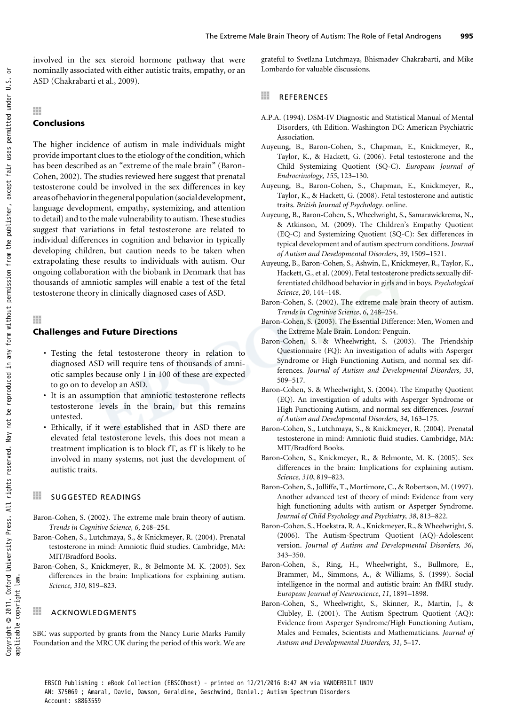involved in the sex steroid hormone pathway that were nominally associated with either autistic traits, empathy, or an ASD (Chakrabarti et al., 2009).

# **Conclusions**

Á

 The higher incidence of autism in male individuals might provide important clues to the etiology of the condition, which has been described as an "extreme of the male brain" (Baron-Cohen, 2002). The studies reviewed here suggest that prenatal testosterone could be involved in the sex differences in key areas of behavior in the general population (social development, language development, empathy, systemizing, and attention to detail) and to the male vulnerability to autism. These studies suggest that variations in fetal testosterone are related to individual differences in cognition and behavior in typically developing children, but caution needs to be taken when extrapolating these results to individuals with autism. Our ongoing collaboration with the biobank in Denmark that has thousands of amniotic samples will enable a test of the fetal testosterone theory in clinically diagnosed cases of ASD.

#### Á

#### **Challenges and Future Directions**

- Testing the fetal testosterone theory in relation to diagnosed ASD will require tens of thousands of amniotic samples because only 1 in 100 of these are expected to go on to develop an ASD.
- It is an assumption that amniotic testosterone reflects testosterone levels in the brain, but this remains untested.
- Ethically, if it were established that in ASD there are elevated fetal testosterone levels, this does not mean a treatment implication is to block fT, as fT is likely to be involved in many systems, not just the development of autistic traits.

# **Example 3 UGGESTED READINGS**

- Baron-Cohen, S. (2002). The extreme male brain theory of autism. *Trends in Cognitive Science, 6* , 248 – 254 .
- Baron-Cohen, S., Lutchmaya, S., & Knickmeyer, R. (2004). Prenatal testosterone in mind: Amniotic fluid studies. Cambridge, MA: MIT/Bradford Books.
- Baron-Cohen, S., Knickmeyer, R., & Belmonte M. K. (2005). Sex differences in the brain: Implications for explaining autism. *Science, 310* , 819 – 823 .

## **ACKNOWLEDGMENTS**

 SBC was supported by grants from the Nancy Lurie Marks Family Foundation and the MRC UK during the period of this work. We are grateful to Svetlana Lutchmaya, Bhismadev Chakrabarti, and Mike Lombardo for valuable discussions.

# **KEFERENCES**

- A.P.A. (1994). DSM-IV Diagnostic and Statistical Manual of Mental Disorders, 4th Edition. Washington DC: American Psychiatric Association.
- Auyeung, B., Baron-Cohen, S., Chapman, E., Knickmeyer, R., Taylor, K., & Hackett, G. (2006). Fetal testosterone and the Child Systemizing Quotient (SQ-C). *European Journal of Endrocrinology, 155* , 123 – 130 .
- Auyeung, B., Baron-Cohen, S., Chapman, E., Knickmeyer, R., Taylor, K., & Hackett, G. (2008). Fetal testosterone and autistic traits . *British Journal of Psychology* . online.
- Auyeung, B., Baron-Cohen, S., Wheelwright, S., Samarawickrema, N., & Atkinson, M. (2009). The Children's Empathy Quotient (EQ-C) and Systemizing Quotient (SQ-C): Sex differences in typical development and of autism spectrum conditions . *Journal of Autism and Developmental Disorders* , *39* , 1509 – 1521 .
- Auyeung, B., Baron-Cohen, S., Ashwin, E., Knickmeyer, R., Taylor, K., Hackett, G., et al. (2009). Fetal testosterone predicts sexually differentiated childhood behavior in girls and in boys . *Psychological Science* , *20* , 144 – 148 .
- Baron-Cohen, S. (2002). The extreme male brain theory of autism. *Trends in Cognitive Science* , *6* , 248 – 254 .
- Baron-Cohen, S. (2003). The Essential Difference: Men, Women and the Extreme Male Brain. London: Penguin.
- Baron-Cohen, S. & Wheelwright, S. (2003). The Friendship Questionnaire (FQ): An investigation of adults with Asperger Syndrome or High Functioning Autism, and normal sex differences. Journal of Autism and Developmental Disorders, 33, 509-517.
- Baron-Cohen, S. & Wheelwright, S. (2004). The Empathy Quotient (EQ) . An investigation of adults with Asperger Syndrome or High Functioning Autism, and normal sex differences . *Journal of Autism and Developmental Disorders, 34* , 163 – 175 .
- Baron-Cohen, S., Lutchmaya, S., & Knickmeyer, R. (2004). Prenatal testosterone in mind: Amniotic fluid studies. Cambridge, MA: MIT/Bradford Books.
- Baron-Cohen, S., Knickmeyer, R., & Belmonte, M. K. (2005). Sex differences in the brain: Implications for explaining autism. *Science, 310* , 819 – 823 .
- Baron-Cohen, S., Jolliffe, T., Mortimore, C., & Robertson, M. (1997). Another advanced test of theory of mind: Evidence from very high functioning adults with autism or Asperger Syndrome. *Journal of Child Psychology and Psychiatry, 38* , 813 – 822 .
- Baron-Cohen, S., Hoekstra, R. A., Knickmeyer, R., & Wheelwright, S. (2006). The Autism-Spectrum Quotient (AQ)-Adolescent version. *Journal of Autism and Developmental Disorders*, 36,  $343 - 350$ .
- Baron-Cohen, S., Ring, H., Wheelwright, S., Bullmore, E., Brammer, M., Simmons, A., & Williams, S. (1999). Social intelligence in the normal and autistic brain: An fMRI study. European Journal of Neuroscience, 11, 1891-1898.
- Baron-Cohen, S., Wheelwright, S., Skinner, R., Martin, J., & Clubley, E. (2001). The Autism Spectrum Quotient (AQ): Evidence from Asperger Syndrome/High Functioning Autism, Males and Females, Scientists and Mathematicians . *Journal of*  Autism and Developmental Disorders, 31, 5-17.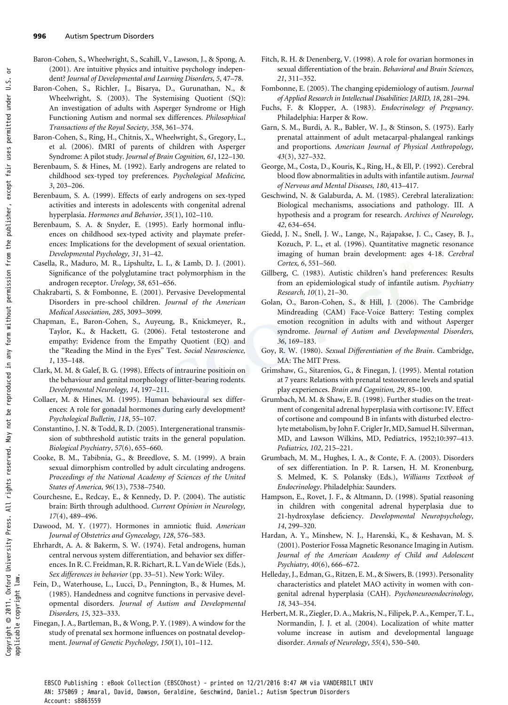- Baron-Cohen, S., Wheelwright, S., Scahill, V., Lawson, J., & Spong, A. (2001). Are intuitive physics and intuitive psychology independent? *Journal of Developmental and Learning Disorders*, 5, 47–78.
- Baron-Cohen, S., Richler, J., Bisarya, D., Gurunathan, N., & Wheelwright, S. (2003). The Systemising Quotient (SQ): An investigation of adults with Asperger Syndrome or High Functioning Autism and normal sex differences . *Philosophical Transactions of the Royal Society, 358* , 361 – 374 .
- Baron-Cohen, S., Ring, H., Chitnis, X., Wheelwright, S., Gregory, L., et al. (2006). fMRI of parents of children with Asperger Syndrome: A pilot study. *Journal of Brain Cognition*, 61, 122-130.
- Berenbaum, S. & Hines, M. (1992). Early androgens are related to childhood sex-typed toy preferences . *Psychological Medicine, 3* , 203 – 206 .
- Berenbaum, S. A. (1999). Effects of early androgens on sex-typed activities and interests in adolescents with congenital adrenal hyperplasia. *Hormones and Behavior*, 35(1), 102-110.
- Berenbaum, S. A. & Snyder, E. (1995). Early hormonal influences on childhood sex-typed activity and playmate preferences: Implications for the development of sexual orientation. *Developmental Psychology, 31* , 31 – 42 .
- Casella, R., Maduro, M. R., Lipshultz, L. I., & Lamb, D. J. (2001). Significance of the polyglutamine tract polymorphism in the androgen receptor. *Urology*, 58, 651-656.
- Chakrabarti, S. & Fombonne, E. (2001). Pervasive Developmental Disorders in pre-school children . *Journal of the American Medical Association, 285* , 3093 – 3099 .
- Chapman, E., Baron-Cohen, S., Auyeung, B., Knickmeyer, R., Taylor, K., & Hackett, G. (2006). Fetal testosterone and empathy: Evidence from the Empathy Quotient (EQ) and the "Reading the Mind in the Eyes" Test . *Social Neuroscience,* 1, 135-148.
- Clark, M. M. & Galef, B. G. ( 1998 ). Effects of intraurine positioin on the behaviour and genital morphology of litter-bearing rodents . *Developmental Neurology, 14* , 197 – 211 .
- Collaer, M. & Hines, M. (1995). Human behavioural sex differences: A role for gonadal hormones during early development? *Psychological Bulletin, 118* , 55 – 107 .
- Constantino, J. N. & Todd, R. D. (2005). Intergenerational transmission of subthreshold autistic traits in the general population. *Biological Psychiatry* , *57* ( 6 ), 655 – 660 .
- Cooke, B. M., Tabibnia, G., & Breedlove, S. M. (1999). A brain sexual dimorphism controlled by adult circulating androgens. *Proceedings of the National Academy of Sciences of the United States of America, 96* (13), 7538 – 7540 .
- Courchesne, E., Redcay, E., & Kennedy, D. P. (2004). The autistic brain: Birth through adulthood . *Current Opinion in Neurology, 17*(4), 489-496.
- Dawood, M. Y. (1977). Hormones in amniotic fluid. American Journal of Obstetrics and Gynecology, 128, 576-583.
- Ehrhardt, A. A. & Bakerm, S. W. (1974). Fetal androgens, human central nervous system differentiation, and behavior sex differences . In R. C. Freidman, R. R. Richart, R. L. Van de Wiele (Eds.), *Sex differences in behavior* (pp. 33-51). New York: Wiley.
- Fein, D., Waterhouse, L., Lucci, D., Pennington, B., & Humes, M. (1985). Handedness and cognitve functions in pervasive developmental disorders. *Journal of Autism and Developmental Disorders, 15* , 323 – 333 .
- Finegan, J. A. , Bartleman, B. , & Wong, P. Y. ( 1989 ). A window for the study of prenatal sex hormone influences on postnatal development. *Journal of Genetic Psychology*, 150(1), 101-112.
- Fitch, R. H. & Denenberg, V. (1998). A role for ovarian hormones in sexual differentiation of the brain . *Behavioral and Brain Sciences* , *21* , 311 – 352 .
- Fombonne, E. ( 2005 ). The changing epidemiology of autism . *Journal of Applied Research in Intellectual Disabilities: JARID, 18* , 281 – 294 .
- Fuchs, F. & Klopper, A. (1983). *Endocrinology of Pregnancy*. Philadelphia: Harper & Row.
- Garn, S. M., Burdi, A. R., Babler, W. J., & Stinson, S. (1975). Early prenatal attainment of adult metacarpal-phalangeal rankings and proportions . *American Journal of Physical Anthropology, 43* ( 3 ), 327 – 332 .
- George, M., Costa, D., Kouris, K., Ring, H., & Ell, P. (1992). Cerebral blood flow abnormalities in adults with infantile autism. *Journal of Nervous and Mental Diseases, 180* , 413 – 417 .
- Geschwind, N. & Galaburda, A. M. (1985). Cerebral lateralization: Biological mechanisms, associations and pathology. III. A hypothesis and a program for research . *Archives of Neurology, 42* , 634 – 654 .
- Giedd, J. N., Snell, J. W., Lange, N., Rajapakse, J. C., Casey, B. J., Kozuch, P. L., et al. (1996). Quantitative magnetic resonance imaging of human brain development: ages 4-18 . *Cerebral Cortex, 6* , 551 – 560 .
- Gillberg, C. (1983). Autistic children's hand preferences: Results from an epidemiological study of infantile autism. Psychiatry *Research,*  $10(1)$ , 21-30.
- Golan, O., Baron-Cohen, S., & Hill, J. (2006). The Cambridge Mindreading (CAM) Face-Voice Battery: Testing complex emotion recognition in adults with and without Asperger syndrome. *Journal of Autism and Developmental Disorders*, 36, 169–183.
- Goy, R. W. (1980). Sexual Differentiation of the Brain. Cambridge, MA: The MIT Press.
- Grimshaw, G., Sitarenios, G., & Finegan, J. (1995). Mental rotation at 7 years: Relations with prenatal testosterone levels and spatial play experiences. *Brain and Cognition*, 29, 85-100.
- Grumbach, M. M. & Shaw, E. B. ( 1998 ). Further studies on the treatment of congenital adrenal hyperplasia with cortisone: IV. Effect of cortisone and compound B in infants with disturbed electrolyte metabolism, by John F. Crigler Jr, MD, Samuel H. Silverman, MD, and Lawson Wilkins, MD, Pediatrics, 1952;10:397–413 . *Pediatrics, 102* , 215 – 221 .
- Grumbach, M. M., Hughes, I. A., & Conte, F. A. (2003). Disorders of sex differentiation . In P. R. Larsen, H. M. Kronenburg, S. Melmed, K. S. Polansky (Eds.), *Williams Textbook of*  **Endocrinology**. Philadelphia: Saunders.
- Hampson, E., Rovet, J. F., & Altmann, D. (1998). Spatial reasoning in children with congenital adrenal hyperplasia due to 21-hydroxylase deficiency . *Developmental Neuropsychology,* 14, 299-320.
- Hardan, A. Y. , Minshew, N. J. , Harenski, K. , & Keshavan, M. S. (2001). Posterior Fossa Magnetic Resonance Imaging in Autism. Journal of the American Academy of Child and Adolescent Psychiatry,  $40(6)$ , 666-672.
- Helleday, J., Edman, G., Ritzen, E. M., & Siwers, B. (1993). Personality characteristics and platelet MAO activity in women with congenital adrenal hyperplasia (CAH) . *Psychoneuroendocrinology, 18* , 343 – 354 .
- Herbert, M. R., Ziegler, D. A., Makris, N., Filipek, P. A., Kemper, T. L., Normandin, J. J. et al. (2004). Localization of white matter volume increase in autism and developmental language disorder. Annals of Neurology, 55(4), 530-540.

EBSCO Publishing : eBook Collection (EBSCOhost) - printed on 12/21/2016 8:47 AM via VANDERBILT UNIV AN: 375069 ; Amaral, David, Dawson, Geraldine, Geschwind, Daniel.; Autism Spectrum Disorders  $Accoun+1$   $c906700$ 

applicable copyright law.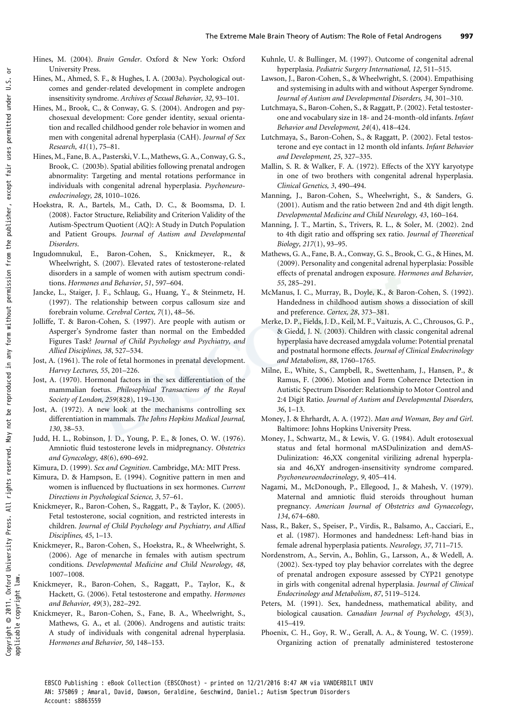- Hines, M. (2004). *Brain Gender*. Oxford & New York: Oxford University Press .
- Hines, M., Ahmed, S. F., & Hughes, I. A. (2003a). Psychological outcomes and gender-related development in complete androgen insensitivity syndrome. Archives of Sexual Behavior, 32, 93-101.
- Hines, M., Brook, C., & Conway, G. S. (2004). Androgen and psychosexual development: Core gender identity, sexual orientation and recalled childhood gender role behavior in women and men with congenital adrenal hyperplasia (CAH) . *Journal of Sex Research,*  $41(1)$ , 75-81.
- Hines, M. , Fane, B. A. , Pasterski, V. L. , Mathews, G. A. , Conway, G. S., Brook, C. (2003b). Spatial abilities following prenatal androgen abnormality: Targeting and mental rotations performance in individuals with congenital adrenal hyperplasia . *Psychoneuro*endocrinology, 28, 1010-1026.
- Hoekstra, R. A. , Bartels, M. , Cath, D. C. , & Boomsma, D. I. ( 2008 ). Factor Structure, Reliability and Criterion Validity of the Autism-Spectrum Quotient (AQ): A Study in Dutch Population and Patient Groups. *Journal of Autism and Developmental Disorders* .
- Ingudomnukul, E., Baron-Cohen, S., Knickmeyer, R., & Wheelwright, S. (2007). Elevated rates of testosterone-related disorders in a sample of women with autism spectrum conditions. Hormones and Behavior, 51, 597-604.
- Jancke, L., Staiger, J. F., Schlaug, G., Huang, Y., & Steinmetz, H. (1997). The relationship between corpus callosum size and forebrain volume. *Cerebral Cortex*,  $7(1)$ , 48-56.
- Jolliffe, T. & Baron-Cohen, S. (1997). Are people with autism or Asperger's Syndrome faster than normal on the Embedded Figures Task? *Journal of Child Psychology and Psychiatry, and Allied Disciplines, 38* , 527 – 534 .
- Jost, A. (1961). The role of fetal hormones in prenatal development. *Harvey Lectures, 55, 201-226.*
- Jost, A. (1970). Hormonal factors in the sex differentiation of the mammalian foetus. *Philosophical Transactions of the Royal* Society of London, 259(828), 119-130.
- Jost, A. (1972). A new look at the mechanisms controlling sex differentiation in mammals . *The Johns Hopkins Medical Journal,* 130, 38-53.
- Judd, H. L., Robinson, J. D., Young, P. E., & Jones, O. W. (1976). Amniotic fluid testosterone levels in midpregnancy. Obstetrics and Gynecology,  $48(6)$ , 690-692.
- Kimura, D. (1999). Sex and Cognition. Cambridge, MA: MIT Press.
- Kimura, D. & Hampson, E. (1994). Cognitive pattern in men and women is influenced by fluctuations in sex hormones. *Current Directions in Psychological Science, 3* , 57 – 61 .
- Knickmeyer, R., Baron-Cohen, S., Raggatt, P., & Taylor, K. (2005). Fetal testosterone, social cognition, and restricted interests in children . *Journal of Child Psychology and Psychiatry, and Allied Disciplines*, 45, 1-13.
- Knickmeyer, R., Baron-Cohen, S., Hoekstra, R., & Wheelwright, S. (2006). Age of menarche in females with autism spectrum conditions . *Developmental Medicine and Child Neurology, 48* , 1007-1008.
- Knickmeyer, R., Baron-Cohen, S., Raggatt, P., Taylor, K., & Hackett, G. (2006). Fetal testosterone and empathy. *Hormones* and Behavior, 49(3), 282-292.
- Knickmeyer, R., Baron-Cohen, S., Fane, B. A., Wheelwright, S., Mathews, G. A., et al. (2006). Androgens and autistic traits: A study of individuals with congenital adrenal hyperplasia . *Hormones and Behavior, 50, 148-153.*
- Kuhnle, U. & Bullinger, M. (1997). Outcome of congenital adrenal hyperplasia. *Pediatric Surgery International*, 12, 511-515.
- Lawson, J., Baron-Cohen, S., & Wheelwright, S. (2004). Empathising and systemising in adults with and without Asperger Syndrome. *Journal of Autism and Developmental Disorders, 34* , 301 – 310 .
- Lutchmaya, S., Baron-Cohen, S., & Raggatt, P. (2002). Fetal testosterone and vocabulary size in 18- and 24-month-old infants . *Infant*  Behavior and Development, 24(4), 418-424.
- Lutchmaya, S., Baron-Cohen, S., & Raggatt, P. (2002). Fetal testosterone and eye contact in 12 month old infants . *Infant Behavior and Development, 25* , 327 – 335 .
- Mallin, S. R. & Walker, F. A. ( 1972 ). Effects of the XYY karyotype in one of two brothers with congenital adrenal hyperplasia. *Clinical Genetics, 3* , 490 – 494 .
- Manning, J., Baron-Cohen, S., Wheelwright, S., & Sanders, G. (2001). Autism and the ratio between 2nd and 4th digit length. *Developmental Medicine and Child Neurology, 43* , 160 – 164 .
- Manning, J. T., Martin, S., Trivers, R. L., & Soler, M. (2002). 2nd to 4th digit ratio and offspring sex ratio . *Journal of Theoretical Biology, 217*(1), 93-95.
- Mathews, G. A., Fane, B. A., Conway, G. S., Brook, C. G., & Hines, M. ( 2009 ). Personality and congenital adrenal hyperplasia: Possible effects of prenatal androgen exposure . *Hormones and Behavior, 55* , 285 – 291 .
- McManus, I. C., Murray, B., Doyle, K., & Baron-Cohen, S. (1992). Handedness in childhood autism shows a dissociation of skill and preference. *Cortex*, 28, 373-381.
- Merke, D. P., Fields, J. D., Keil, M. F., Vaituzis, A. C., Chrousos, G. P., & Giedd, J. N. ( 2003 ). Children with classic congenital adrenal hyperplasia have decreased amygdala volume: Potential prenatal and postnatal hormone effects . *Journal of Clinical Endocrinology and Metabolism* , *88* , 1760 – 1765 .
- Milne, E., White, S., Campbell, R., Swettenham, J., Hansen, P., & Ramus, F. (2006). Motion and Form Coherence Detection in Autistic Spectrum Disorder: Relationship to Motor Control and 2:4 Digit Ratio . *Journal of Autism and Developmental Disorders,* 36, 1–13.
- Money, J. & Ehrhardt, A. A. ( 1972 ). *Man and Woman, Boy and Girl* . Baltimore: Johns Hopkins University Press.
- Money, J., Schwartz, M., & Lewis, V. G. (1984). Adult erotosexual status and fetal hormonal mASDulinization and demAS-Dulinization: 46,XX congenital virilizing adrenal hyperplasia and 46,XY androgen-insensitivity syndrome compared. *Psychoneuroendocrinology, 9* , 405 – 414 .
- Nagami, M., McDonough, P., Ellegood, J., & Mahesh, V. (1979). Maternal and amniotic fluid steroids throughout human pregnancy. American Journal of Obstetrics and Gynaecology, 134, 674-680.
- Nass, R. , Baker, S. , Speiser, P. , Virdis, R. , Balsamo, A., Cacciari, E., et al. (1987). Hormones and handedness: Left-hand bias in female adrenal hyperplasia patients. *Neurology*, 37, 711-715.
- Nordenstrom, A., Servin, A., Bohlin, G., Larsson, A., & Wedell, A. (2002). Sex-typed toy play behavior correlates with the degree of prenatal androgen exposure assessed by CYP21 genotype in girls with congenital adrenal hyperplasia . *Journal of Clinical*  Endocrinology and Metabolism, 87, 5119-5124.
- Peters, M. (1991). Sex, handedness, mathematical ability, and biological causation. *Canadian Journal of Psychology*, 45(3), 415 - 419.
- Phoenix, C. H., Goy, R. W., Gerall, A. A., & Young, W. C. (1959). Organizing action of prenatally administered testosterone